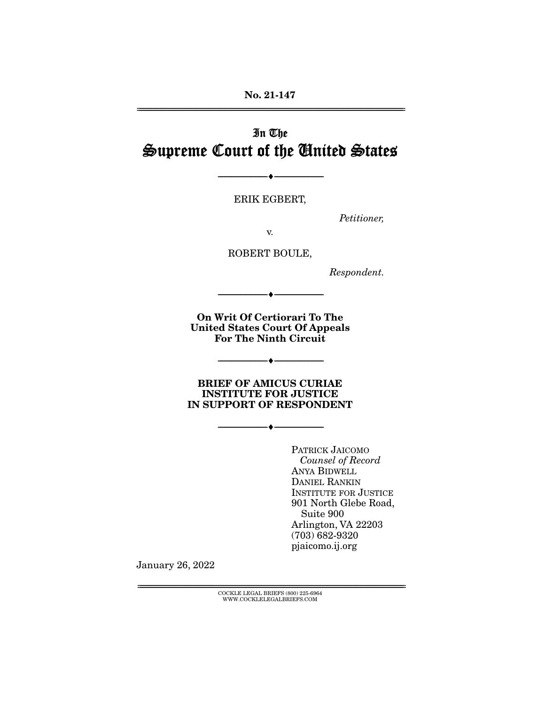# In The Supreme Court of the United States

ERIK EGBERT,

--------------------------------- ♦ ---------------------------------

Petitioner,

v.

ROBERT BOULE,

Respondent.

**On Writ Of Certiorari To The United States Court Of Appeals For The Ninth Circuit** 

--------------------------------- ♦ ---------------------------------

--------------------------------- ♦ ---------------------------------

--------------------------------- ♦ ---------------------------------

**BRIEF OF AMICUS CURIAE INSTITUTE FOR JUSTICE IN SUPPORT OF RESPONDENT** 

> PATRICK JAICOMO Counsel of Record ANYA BIDWELL DANIEL RANKIN INSTITUTE FOR JUSTICE 901 North Glebe Road, Suite 900 Arlington, VA 22203 (703) 682-9320 pjaicomo.ij.org

January 26, 2022

 ${COCKLE}$  LEGAL BRIEFS (800) 225-6964 WWW.COCKLELEGALBRIEFS.COM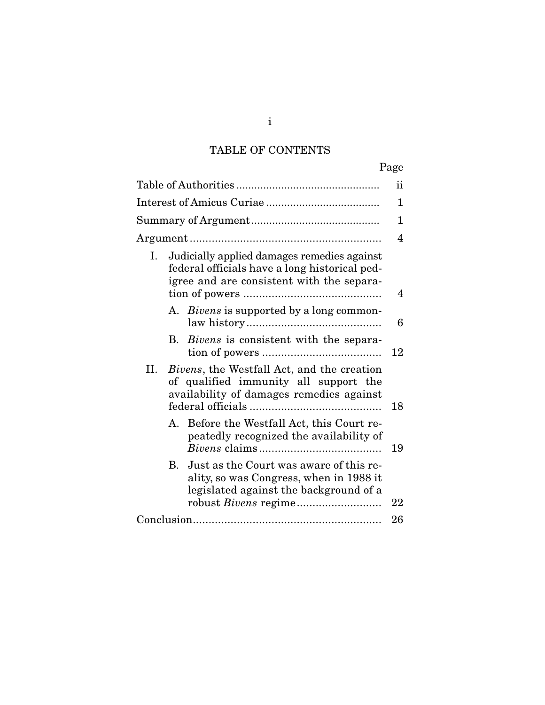# TABLE OF CONTENTS

|                                                                                                                                                 | Page |
|-------------------------------------------------------------------------------------------------------------------------------------------------|------|
|                                                                                                                                                 | ŤŤ   |
|                                                                                                                                                 | 1    |
|                                                                                                                                                 | 1    |
|                                                                                                                                                 | 4    |
| Judicially applied damages remedies against<br>Ι.<br>federal officials have a long historical ped-<br>igree and are consistent with the separa- | 4    |
| A. Bivens is supported by a long common-                                                                                                        | 6    |
| Bivens is consistent with the separa-<br><b>B.</b>                                                                                              | 12   |
| Н.<br>Bivens, the Westfall Act, and the creation<br>of qualified immunity all support the<br>availability of damages remedies against           | 18   |
| Before the Westfall Act, this Court re-<br>А.<br>peatedly recognized the availability of                                                        | 19   |
| Just as the Court was aware of this re-<br><b>B.</b><br>ality, so was Congress, when in 1988 it<br>legislated against the background of a       | 22   |
|                                                                                                                                                 | 26   |
|                                                                                                                                                 |      |

i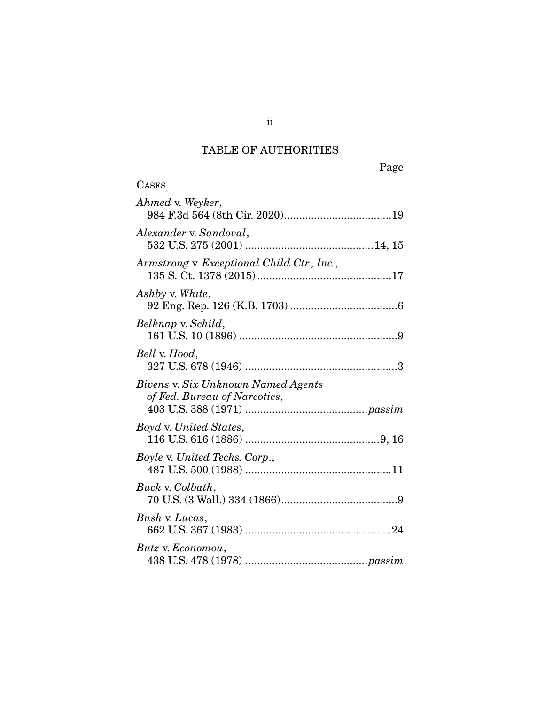# TABLE OF AUTHORITIES

**CASES** 

| Ahmed v. Weyker,                                                   |
|--------------------------------------------------------------------|
| Alexander v. Sandoval,                                             |
| Armstrong v. Exceptional Child Ctr., Inc.,                         |
| Ashby v. White,                                                    |
| Belknap v. Schild,                                                 |
| Bell v. Hood,                                                      |
| Bivens v. Six Unknown Named Agents<br>of Fed. Bureau of Narcotics, |
| <i>Boyd v. United States,</i>                                      |
| Boyle v. United Techs. Corp.,                                      |
| Buck v. Colbath,                                                   |
| Bush v. Lucas,                                                     |
| Butz v. Economou,                                                  |

ii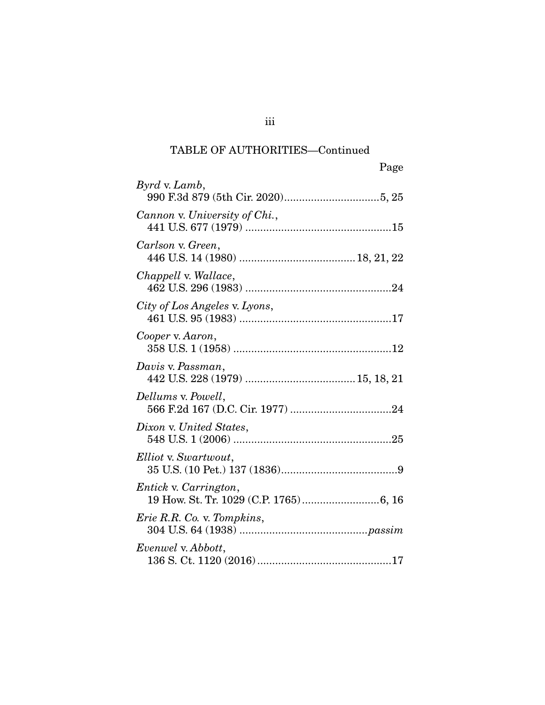| Page                              |
|-----------------------------------|
| Byrd v. Lamb,                     |
| Cannon v. University of Chi.,     |
| Carlson v. Green,                 |
| Chappell v. Wallace,              |
| City of Los Angeles v. Lyons,     |
| Cooper v. Aaron,                  |
| Davis v. Passman,                 |
| Dellums v. Powell,                |
| Dixon v. United States,           |
| Elliot v. Swartwout,              |
| Entick v. Carrington,             |
| <i>Erie R.R. Co. v. Tompkins,</i> |
| Evenwel v. Abbott,                |

iii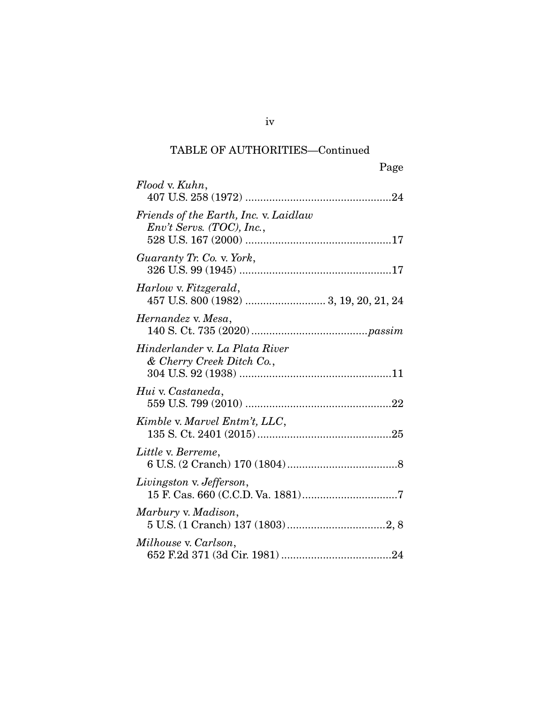| Page                                                                 |  |
|----------------------------------------------------------------------|--|
| Flood v. Kuhn,                                                       |  |
| Friends of the Earth, Inc. v. Laidlaw<br>$Env't$ Servs. (TOC), Inc., |  |
| Guaranty Tr. Co. v. York,                                            |  |
| Harlow v. Fitzgerald,                                                |  |
| Hernandez v. Mesa,                                                   |  |
| Hinderlander v. La Plata River<br>& Cherry Creek Ditch Co.,          |  |
| Hui v. Castaneda,                                                    |  |
| Kimble v. Marvel Entm't, LLC,                                        |  |
| Little v. Berreme,                                                   |  |
| Livingston v. Jefferson,                                             |  |
| Marbury v. Madison,                                                  |  |
| Milhouse v. Carlson,                                                 |  |

iv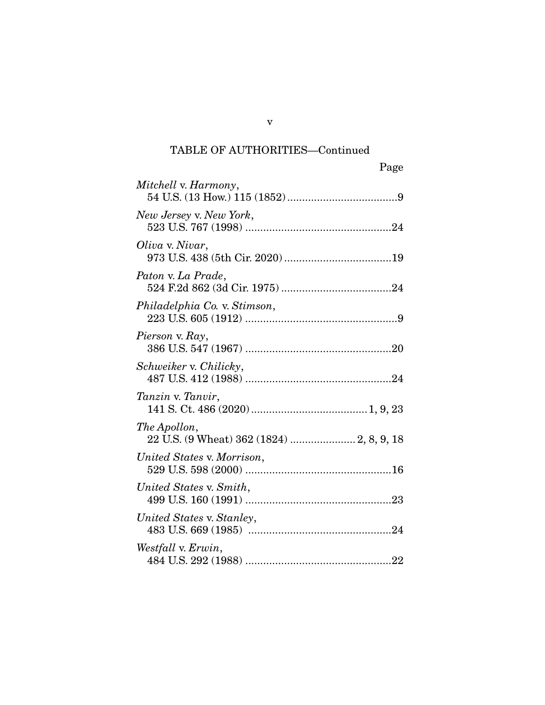| Page                         |
|------------------------------|
| Mitchell v. Harmony,         |
| New Jersey v. New York,      |
| Oliva v. Nivar,              |
| Paton v. La Prade,           |
| Philadelphia Co. v. Stimson, |
| Pierson v. Ray,              |
| Schweiker v. Chilicky,       |
| Tanzin v. Tanvir,            |
| The Apollon,                 |
| United States v. Morrison,   |
| United States v. Smith,      |
| United States v. Stanley,    |
| Westfall v. Erwin,           |

v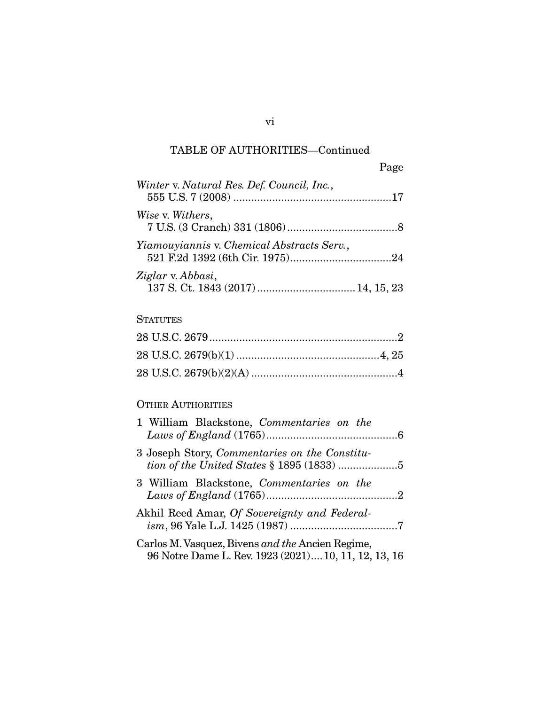|                                            | Page |
|--------------------------------------------|------|
| Winter v. Natural Res. Def. Council, Inc., |      |
| Wise v. Withers,                           |      |
| Yiamouyiannis v. Chemical Abstracts Serv., |      |
| Ziglar v. Abbasi,                          |      |

### **STATUTES**

## OTHER AUTHORITIES

| 1 William Blackstone, Commentaries on the                                                                |
|----------------------------------------------------------------------------------------------------------|
| 3 Joseph Story, Commentaries on the Constitu-                                                            |
| 3 William Blackstone, Commentaries on the                                                                |
| Akhil Reed Amar, Of Sovereignty and Federal-                                                             |
| Carlos M. Vasquez, Bivens and the Ancien Regime,<br>96 Notre Dame L. Rev. 1923 (2021) 10, 11, 12, 13, 16 |

vi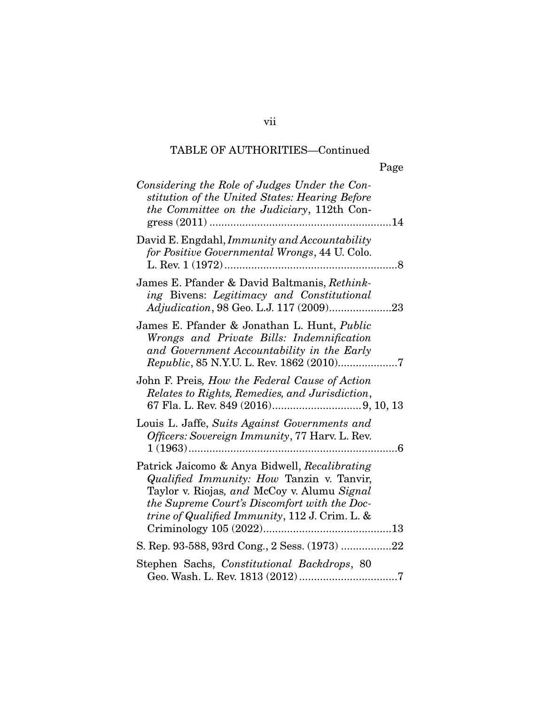|                                                                                                                                                                                                                                             | Page            |
|---------------------------------------------------------------------------------------------------------------------------------------------------------------------------------------------------------------------------------------------|-----------------|
| Considering the Role of Judges Under the Con-<br>stitution of the United States: Hearing Before<br><i>the Committee on the Judiciary</i> , 112th Con-                                                                                       |                 |
| David E. Engdahl, Immunity and Accountability<br>for Positive Governmental Wrongs, 44 U. Colo.<br>L. Rev. 1 (1972)                                                                                                                          | 8               |
| James E. Pfander & David Baltmanis, Rethink-<br>ing Bivens: Legitimacy and Constitutional                                                                                                                                                   |                 |
| James E. Pfander & Jonathan L. Hunt, <i>Public</i><br>Wrongs and Private Bills: Indemnification<br>and Government Accountability in the Early<br>Republic, 85 N.Y.U. L. Rev. 1862 (2010)7                                                   |                 |
| John F. Preis, <i>How the Federal Cause of Action</i><br>Relates to Rights, Remedies, and Jurisdiction,                                                                                                                                     |                 |
| Louis L. Jaffe, Suits Against Governments and<br>Officers: Sovereign Immunity, 77 Harv. L. Rev.<br>$1(1963)$                                                                                                                                | $.6\phantom{0}$ |
| Patrick Jaicomo & Anya Bidwell, Recalibrating<br>Qualified Immunity: How Tanzin v. Tanvir,<br>Taylor v. Riojas, and McCoy v. Alumu Signal<br>the Supreme Court's Discomfort with the Doc-<br>trine of Qualified Immunity, 112 J. Crim. L. & |                 |
| S. Rep. 93-588, 93rd Cong., 2 Sess. (1973) 22                                                                                                                                                                                               |                 |
| Stephen Sachs, Constitutional Backdrops, 80                                                                                                                                                                                                 |                 |

vii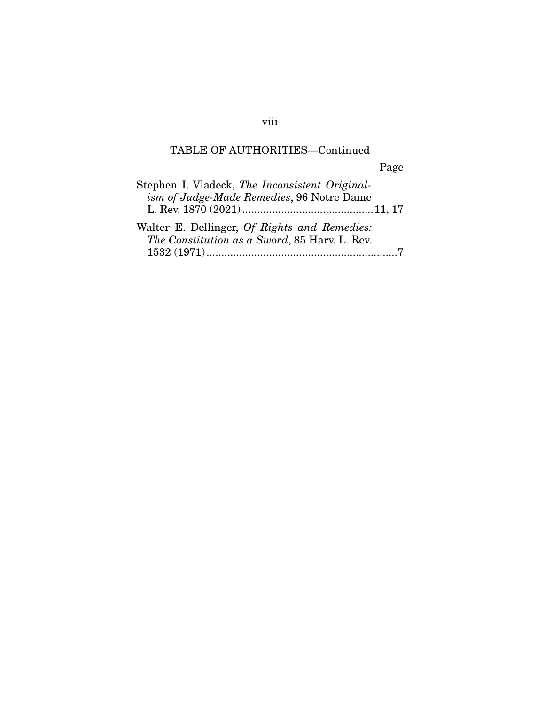| Stephen I. Vladeck, The Inconsistent Original- |
|------------------------------------------------|
| ism of Judge-Made Remedies, 96 Notre Dame      |
|                                                |
| Walter E. Dellinger, Of Rights and Remedies:   |
| The Constitution as a Sword, 85 Harv. L. Rev.  |
|                                                |

viii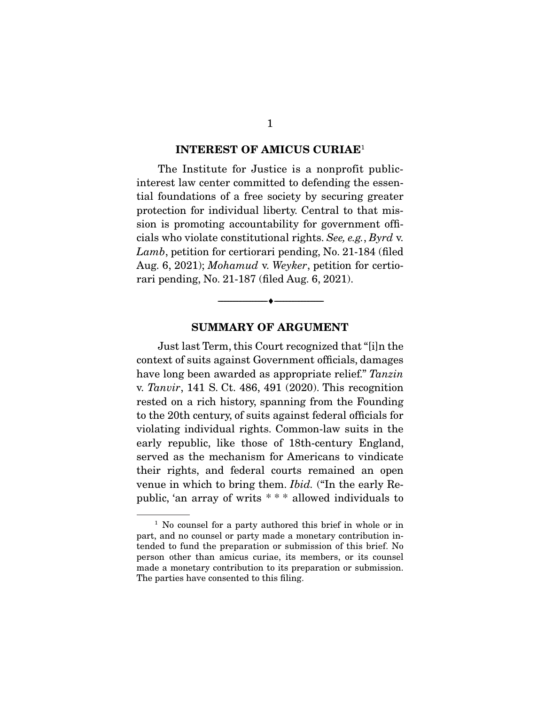#### **INTEREST OF AMICUS CURIAE**<sup>1</sup>

The Institute for Justice is a nonprofit publicinterest law center committed to defending the essential foundations of a free society by securing greater protection for individual liberty. Central to that mission is promoting accountability for government officials who violate constitutional rights. See, e.g., Byrd v. Lamb, petition for certiorari pending, No. 21-184 (filed Aug. 6, 2021); Mohamud v. Weyker, petition for certiorari pending, No. 21-187 (filed Aug. 6, 2021).

#### **SUMMARY OF ARGUMENT**

--------------------------------- ♦ ---------------------------------

Just last Term, this Court recognized that "[i]n the context of suits against Government officials, damages have long been awarded as appropriate relief." Tanzin v. Tanvir, 141 S. Ct. 486, 491 (2020). This recognition rested on a rich history, spanning from the Founding to the 20th century, of suits against federal officials for violating individual rights. Common-law suits in the early republic, like those of 18th-century England, served as the mechanism for Americans to vindicate their rights, and federal courts remained an open venue in which to bring them. Ibid. ("In the early Republic, 'an array of writs \* \* \* allowed individuals to

<sup>&</sup>lt;sup>1</sup> No counsel for a party authored this brief in whole or in part, and no counsel or party made a monetary contribution intended to fund the preparation or submission of this brief. No person other than amicus curiae, its members, or its counsel made a monetary contribution to its preparation or submission. The parties have consented to this filing.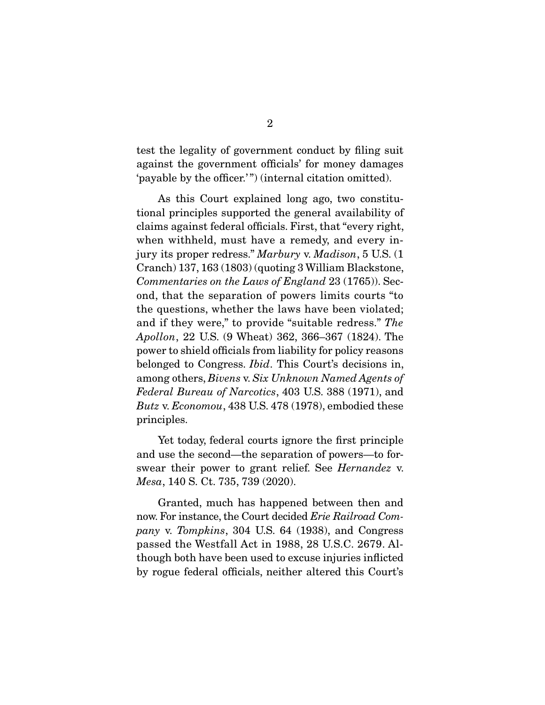test the legality of government conduct by filing suit against the government officials' for money damages 'payable by the officer.' ") (internal citation omitted).

 As this Court explained long ago, two constitutional principles supported the general availability of claims against federal officials. First, that "every right, when withheld, must have a remedy, and every injury its proper redress." Marbury v. Madison, 5 U.S. (1) Cranch) 137, 163 (1803) (quoting 3 William Blackstone, Commentaries on the Laws of England 23 (1765)). Second, that the separation of powers limits courts "to the questions, whether the laws have been violated; and if they were," to provide "suitable redress." The Apollon, 22 U.S. (9 Wheat) 362, 366–367 (1824). The power to shield officials from liability for policy reasons belonged to Congress. Ibid. This Court's decisions in, among others, Bivens v. Six Unknown Named Agents of Federal Bureau of Narcotics, 403 U.S. 388 (1971), and Butz v. Economou, 438 U.S. 478 (1978), embodied these principles.

 Yet today, federal courts ignore the first principle and use the second—the separation of powers—to forswear their power to grant relief. See Hernandez v. Mesa, 140 S. Ct. 735, 739 (2020).

 Granted, much has happened between then and now. For instance, the Court decided *Erie Railroad Com*pany v. Tompkins, 304 U.S. 64 (1938), and Congress passed the Westfall Act in 1988, 28 U.S.C. 2679. Although both have been used to excuse injuries inflicted by rogue federal officials, neither altered this Court's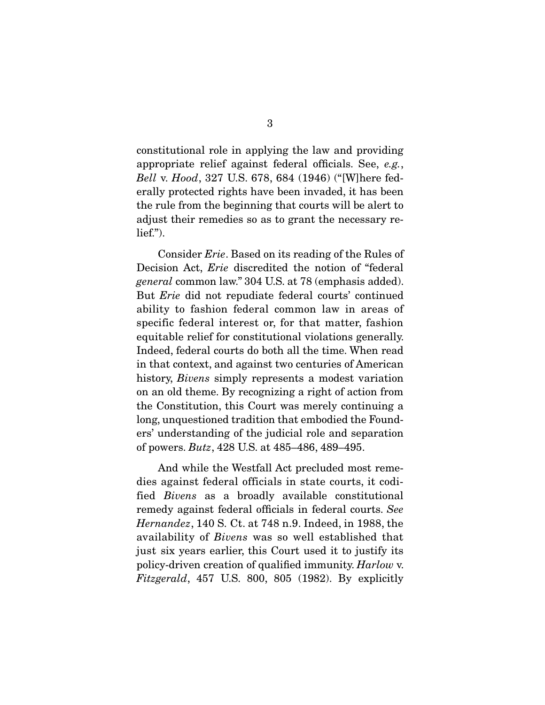constitutional role in applying the law and providing appropriate relief against federal officials. See, e.g., Bell v. Hood, 327 U.S. 678, 684 (1946) ("[W]here federally protected rights have been invaded, it has been the rule from the beginning that courts will be alert to adjust their remedies so as to grant the necessary relief.").

 Consider Erie. Based on its reading of the Rules of Decision Act, *Erie* discredited the notion of "federal" general common law." 304 U.S. at 78 (emphasis added). But Erie did not repudiate federal courts' continued ability to fashion federal common law in areas of specific federal interest or, for that matter, fashion equitable relief for constitutional violations generally. Indeed, federal courts do both all the time. When read in that context, and against two centuries of American history, *Bivens* simply represents a modest variation on an old theme. By recognizing a right of action from the Constitution, this Court was merely continuing a long, unquestioned tradition that embodied the Founders' understanding of the judicial role and separation of powers. Butz, 428 U.S. at 485–486, 489–495.

 And while the Westfall Act precluded most remedies against federal officials in state courts, it codified Bivens as a broadly available constitutional remedy against federal officials in federal courts. See Hernandez, 140 S. Ct. at 748 n.9. Indeed, in 1988, the availability of Bivens was so well established that just six years earlier, this Court used it to justify its policy-driven creation of qualified immunity. Harlow v. Fitzgerald, 457 U.S. 800, 805 (1982). By explicitly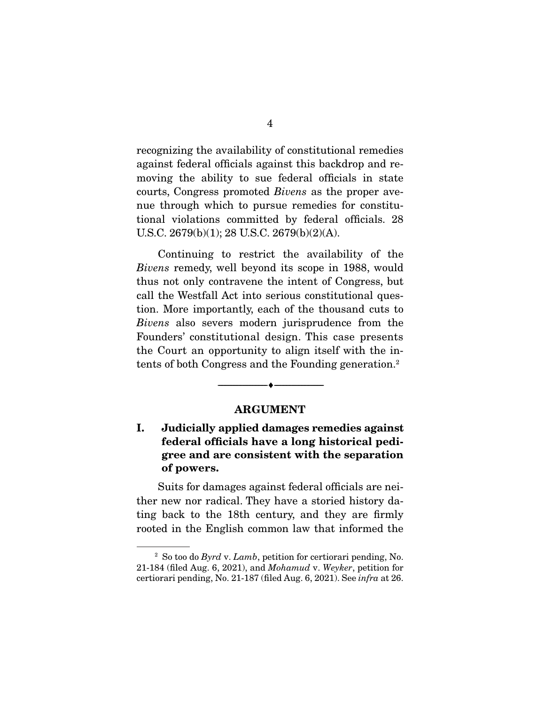recognizing the availability of constitutional remedies against federal officials against this backdrop and removing the ability to sue federal officials in state courts, Congress promoted Bivens as the proper avenue through which to pursue remedies for constitutional violations committed by federal officials. 28 U.S.C. 2679(b)(1); 28 U.S.C. 2679(b)(2)(A).

 Continuing to restrict the availability of the Bivens remedy, well beyond its scope in 1988, would thus not only contravene the intent of Congress, but call the Westfall Act into serious constitutional question. More importantly, each of the thousand cuts to Bivens also severs modern jurisprudence from the Founders' constitutional design. This case presents the Court an opportunity to align itself with the intents of both Congress and the Founding generation.2

#### **ARGUMENT**

--------------------------------- ♦ ---------------------------------

### **I. Judicially applied damages remedies against federal officials have a long historical pedigree and are consistent with the separation of powers.**

Suits for damages against federal officials are neither new nor radical. They have a storied history dating back to the 18th century, and they are firmly rooted in the English common law that informed the

<sup>&</sup>lt;sup>2</sup> So too do Byrd v. Lamb, petition for certiorari pending, No. 21-184 (filed Aug. 6, 2021), and Mohamud v. Weyker, petition for certiorari pending, No. 21-187 (filed Aug. 6, 2021). See infra at 26.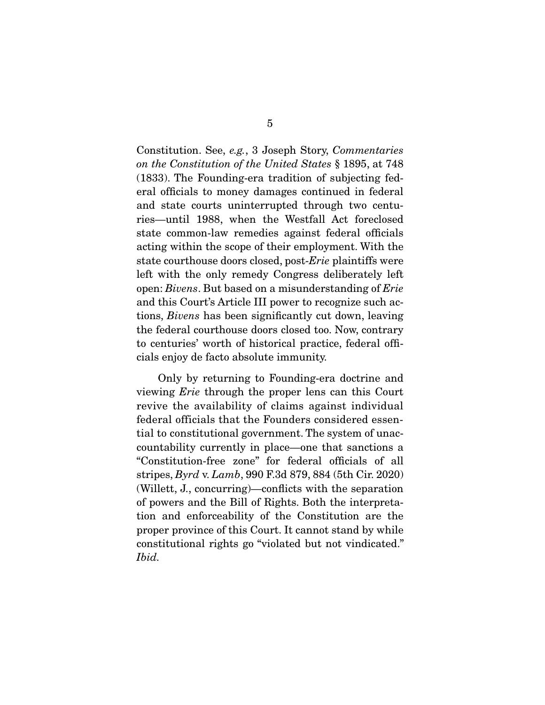Constitution. See, e.g., 3 Joseph Story, Commentaries on the Constitution of the United States § 1895, at 748 (1833). The Founding-era tradition of subjecting federal officials to money damages continued in federal and state courts uninterrupted through two centuries—until 1988, when the Westfall Act foreclosed state common-law remedies against federal officials acting within the scope of their employment. With the state courthouse doors closed, post-Erie plaintiffs were left with the only remedy Congress deliberately left open: Bivens. But based on a misunderstanding of Erie and this Court's Article III power to recognize such actions, Bivens has been significantly cut down, leaving the federal courthouse doors closed too. Now, contrary to centuries' worth of historical practice, federal officials enjoy de facto absolute immunity.

 Only by returning to Founding-era doctrine and viewing Erie through the proper lens can this Court revive the availability of claims against individual federal officials that the Founders considered essential to constitutional government. The system of unaccountability currently in place—one that sanctions a "Constitution-free zone" for federal officials of all stripes, Byrd v. Lamb, 990 F.3d 879, 884 (5th Cir. 2020) (Willett, J., concurring)—conflicts with the separation of powers and the Bill of Rights. Both the interpretation and enforceability of the Constitution are the proper province of this Court. It cannot stand by while constitutional rights go "violated but not vindicated." Ibid.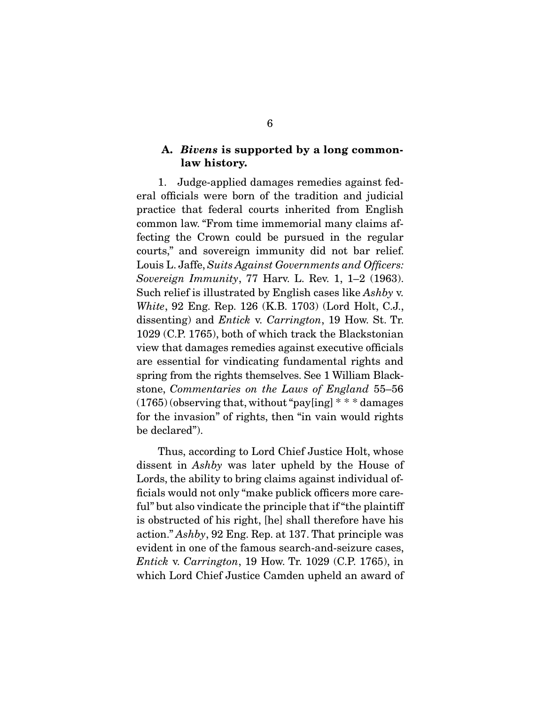#### **A.** *Bivens* **is supported by a long commonlaw history.**

1. Judge-applied damages remedies against federal officials were born of the tradition and judicial practice that federal courts inherited from English common law. "From time immemorial many claims affecting the Crown could be pursued in the regular courts," and sovereign immunity did not bar relief. Louis L. Jaffe, Suits Against Governments and Officers: Sovereign Immunity, 77 Harv. L. Rev. 1, 1–2 (1963). Such relief is illustrated by English cases like Ashby v. White, 92 Eng. Rep. 126 (K.B. 1703) (Lord Holt, C.J., dissenting) and Entick v. Carrington, 19 How. St. Tr. 1029 (C.P. 1765), both of which track the Blackstonian view that damages remedies against executive officials are essential for vindicating fundamental rights and spring from the rights themselves. See 1 William Blackstone, Commentaries on the Laws of England 55–56  $(1765)$  (observing that, without "payling]  $**$  \* damages for the invasion" of rights, then "in vain would rights be declared").

 Thus, according to Lord Chief Justice Holt, whose dissent in Ashby was later upheld by the House of Lords, the ability to bring claims against individual officials would not only "make publick officers more careful" but also vindicate the principle that if "the plaintiff is obstructed of his right, [he] shall therefore have his action." Ashby, 92 Eng. Rep. at 137. That principle was evident in one of the famous search-and-seizure cases, Entick v. Carrington, 19 How. Tr. 1029 (C.P. 1765), in which Lord Chief Justice Camden upheld an award of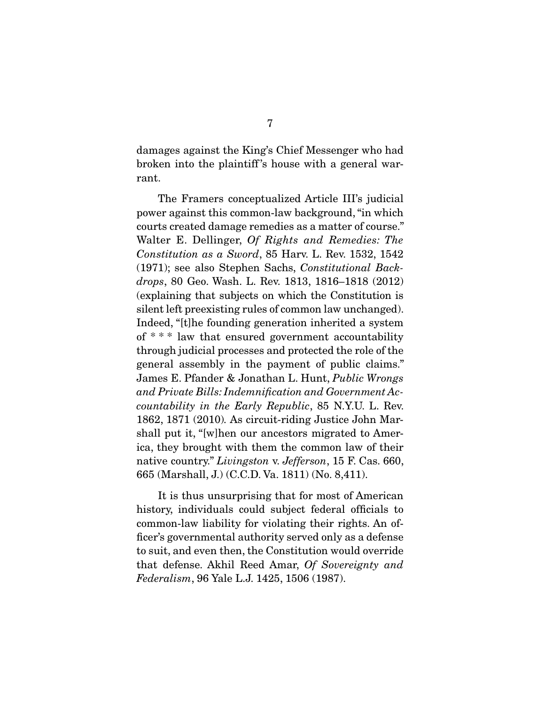damages against the King's Chief Messenger who had broken into the plaintiff 's house with a general warrant.

 The Framers conceptualized Article III's judicial power against this common-law background, "in which courts created damage remedies as a matter of course." Walter E. Dellinger, Of Rights and Remedies: The Constitution as a Sword, 85 Harv. L. Rev. 1532, 1542 (1971); see also Stephen Sachs, Constitutional Backdrops, 80 Geo. Wash. L. Rev. 1813, 1816–1818 (2012) (explaining that subjects on which the Constitution is silent left preexisting rules of common law unchanged). Indeed, "[t]he founding generation inherited a system of \* \* \* law that ensured government accountability through judicial processes and protected the role of the general assembly in the payment of public claims." James E. Pfander & Jonathan L. Hunt, Public Wrongs and Private Bills: Indemnification and Government Accountability in the Early Republic, 85 N.Y.U. L. Rev. 1862, 1871 (2010). As circuit-riding Justice John Marshall put it, "[w]hen our ancestors migrated to America, they brought with them the common law of their native country." Livingston v. Jefferson, 15 F. Cas. 660, 665 (Marshall, J.) (C.C.D. Va. 1811) (No. 8,411).

 It is thus unsurprising that for most of American history, individuals could subject federal officials to common-law liability for violating their rights. An officer's governmental authority served only as a defense to suit, and even then, the Constitution would override that defense. Akhil Reed Amar, Of Sovereignty and Federalism, 96 Yale L.J. 1425, 1506 (1987).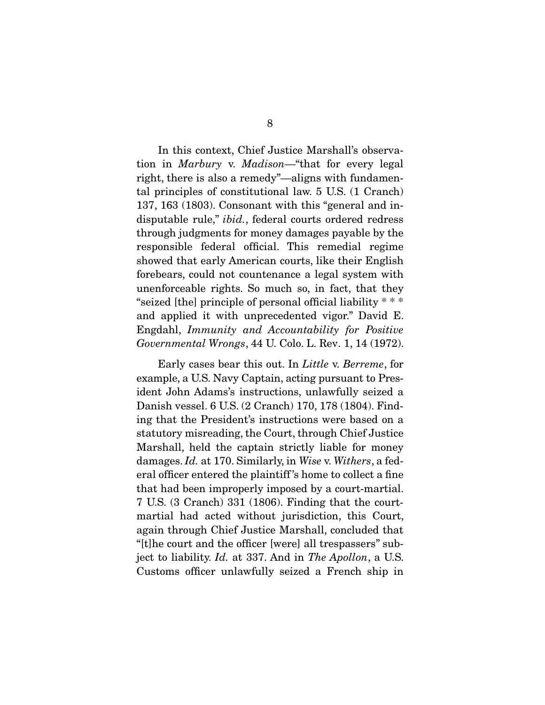In this context, Chief Justice Marshall's observation in Marbury v. Madison—"that for every legal right, there is also a remedy"—aligns with fundamental principles of constitutional law. 5 U.S. (1 Cranch) 137, 163 (1803). Consonant with this "general and indisputable rule," *ibid.*, federal courts ordered redress through judgments for money damages payable by the responsible federal official. This remedial regime showed that early American courts, like their English forebears, could not countenance a legal system with unenforceable rights. So much so, in fact, that they "seized [the] principle of personal official liability \* \* \* and applied it with unprecedented vigor." David E. Engdahl, Immunity and Accountability for Positive Governmental Wrongs, 44 U. Colo. L. Rev. 1, 14 (1972).

 Early cases bear this out. In Little v. Berreme, for example, a U.S. Navy Captain, acting pursuant to President John Adams's instructions, unlawfully seized a Danish vessel. 6 U.S. (2 Cranch) 170, 178 (1804). Finding that the President's instructions were based on a statutory misreading, the Court, through Chief Justice Marshall, held the captain strictly liable for money damages. Id. at 170. Similarly, in Wise v. Withers, a federal officer entered the plaintiff 's home to collect a fine that had been improperly imposed by a court-martial. 7 U.S. (3 Cranch) 331 (1806). Finding that the courtmartial had acted without jurisdiction, this Court, again through Chief Justice Marshall, concluded that "[t]he court and the officer [were] all trespassers" subject to liability. Id. at 337. And in The Apollon, a U.S. Customs officer unlawfully seized a French ship in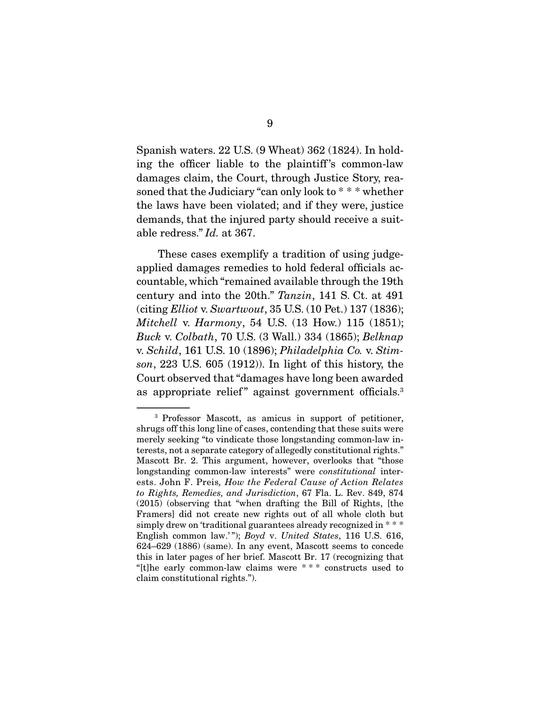Spanish waters. 22 U.S. (9 Wheat) 362 (1824). In holding the officer liable to the plaintiff 's common-law damages claim, the Court, through Justice Story, reasoned that the Judiciary "can only look to \* \* \* whether the laws have been violated; and if they were, justice demands, that the injured party should receive a suitable redress." Id. at 367.

 These cases exemplify a tradition of using judgeapplied damages remedies to hold federal officials accountable, which "remained available through the 19th century and into the 20th." Tanzin, 141 S. Ct. at 491 (citing Elliot v. Swartwout, 35 U.S. (10 Pet.) 137 (1836); Mitchell v. Harmony, 54 U.S. (13 How.) 115 (1851); Buck v. Colbath, 70 U.S. (3 Wall.) 334 (1865); Belknap v. Schild, 161 U.S. 10 (1896); Philadelphia Co. v. Stimson, 223 U.S. 605 (1912)). In light of this history, the Court observed that "damages have long been awarded as appropriate relief" against government officials.<sup>3</sup>

<sup>3</sup> Professor Mascott, as amicus in support of petitioner, shrugs off this long line of cases, contending that these suits were merely seeking "to vindicate those longstanding common-law interests, not a separate category of allegedly constitutional rights." Mascott Br. 2. This argument, however, overlooks that "those longstanding common-law interests" were constitutional interests. John F. Preis, How the Federal Cause of Action Relates to Rights, Remedies, and Jurisdiction, 67 Fla. L. Rev. 849, 874 (2015) (observing that "when drafting the Bill of Rights, [the Framers] did not create new rights out of all whole cloth but simply drew on 'traditional guarantees already recognized in  $***$ English common law.'"); Boyd v. United States, 116 U.S. 616, 624–629 (1886) (same). In any event, Mascott seems to concede this in later pages of her brief. Mascott Br. 17 (recognizing that "[t]he early common-law claims were \* \* \* constructs used to claim constitutional rights.").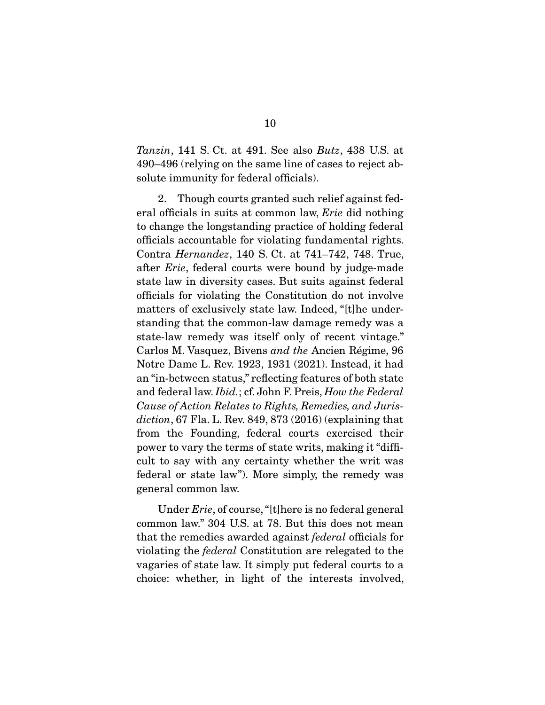Tanzin, 141 S. Ct. at 491. See also Butz, 438 U.S. at 490–496 (relying on the same line of cases to reject absolute immunity for federal officials).

 2. Though courts granted such relief against federal officials in suits at common law, Erie did nothing to change the longstanding practice of holding federal officials accountable for violating fundamental rights. Contra Hernandez, 140 S. Ct. at 741–742, 748. True, after Erie, federal courts were bound by judge-made state law in diversity cases. But suits against federal officials for violating the Constitution do not involve matters of exclusively state law. Indeed, "[t]he understanding that the common-law damage remedy was a state-law remedy was itself only of recent vintage." Carlos M. Vasquez, Bivens and the Ancien Régime, 96 Notre Dame L. Rev. 1923, 1931 (2021). Instead, it had an "in-between status," reflecting features of both state and federal law. Ibid.; cf. John F. Preis, How the Federal Cause of Action Relates to Rights, Remedies, and Jurisdiction, 67 Fla. L. Rev. 849, 873  $(2016)$  (explaining that from the Founding, federal courts exercised their power to vary the terms of state writs, making it "difficult to say with any certainty whether the writ was federal or state law"). More simply, the remedy was general common law.

 Under Erie, of course, "[t]here is no federal general common law." 304 U.S. at 78. But this does not mean that the remedies awarded against federal officials for violating the federal Constitution are relegated to the vagaries of state law. It simply put federal courts to a choice: whether, in light of the interests involved,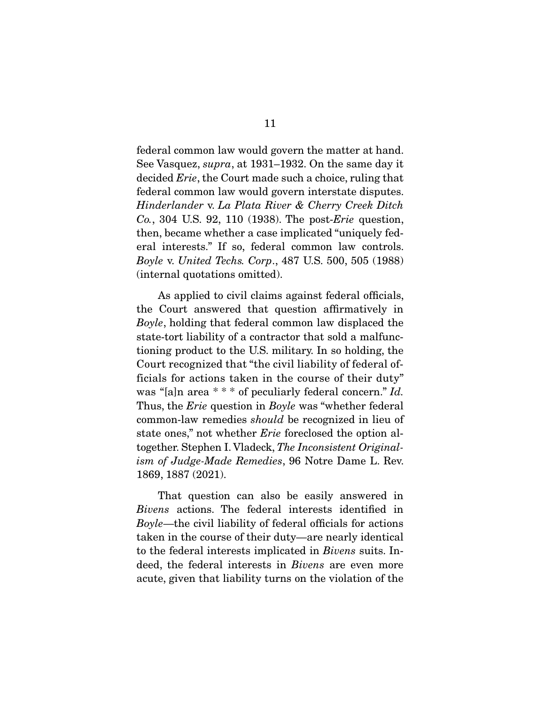federal common law would govern the matter at hand. See Vasquez, supra, at 1931–1932. On the same day it decided *Erie*, the Court made such a choice, ruling that federal common law would govern interstate disputes. Hinderlander v. La Plata River & Cherry Creek Ditch Co., 304 U.S. 92, 110 (1938). The post-Erie question, then, became whether a case implicated "uniquely federal interests." If so, federal common law controls. Boyle v. United Techs. Corp., 487 U.S. 500, 505 (1988) (internal quotations omitted).

 As applied to civil claims against federal officials, the Court answered that question affirmatively in Boyle, holding that federal common law displaced the state-tort liability of a contractor that sold a malfunctioning product to the U.S. military. In so holding, the Court recognized that "the civil liability of federal officials for actions taken in the course of their duty" was "[a]n area \* \* \* of peculiarly federal concern." *Id.* Thus, the *Erie* question in *Boyle* was "whether federal" common-law remedies should be recognized in lieu of state ones," not whether *Erie* foreclosed the option altogether. Stephen I. Vladeck, The Inconsistent Originalism of Judge-Made Remedies, 96 Notre Dame L. Rev. 1869, 1887 (2021).

 That question can also be easily answered in Bivens actions. The federal interests identified in Boyle—the civil liability of federal officials for actions taken in the course of their duty—are nearly identical to the federal interests implicated in Bivens suits. Indeed, the federal interests in Bivens are even more acute, given that liability turns on the violation of the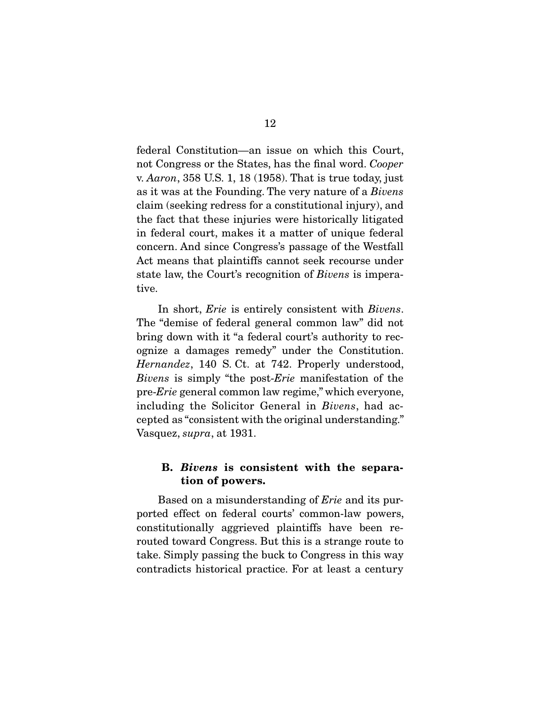federal Constitution—an issue on which this Court, not Congress or the States, has the final word. Cooper v. Aaron, 358 U.S. 1, 18 (1958). That is true today, just as it was at the Founding. The very nature of a Bivens claim (seeking redress for a constitutional injury), and the fact that these injuries were historically litigated in federal court, makes it a matter of unique federal concern. And since Congress's passage of the Westfall Act means that plaintiffs cannot seek recourse under state law, the Court's recognition of Bivens is imperative.

In short, *Erie* is entirely consistent with *Bivens*. The "demise of federal general common law" did not bring down with it "a federal court's authority to recognize a damages remedy" under the Constitution. Hernandez, 140 S. Ct. at 742. Properly understood, Bivens is simply "the post-*Erie* manifestation of the pre-Erie general common law regime," which everyone, including the Solicitor General in Bivens, had accepted as "consistent with the original understanding." Vasquez, supra, at 1931.

#### **B.** *Bivens* **is consistent with the separation of powers.**

Based on a misunderstanding of Erie and its purported effect on federal courts' common-law powers, constitutionally aggrieved plaintiffs have been rerouted toward Congress. But this is a strange route to take. Simply passing the buck to Congress in this way contradicts historical practice. For at least a century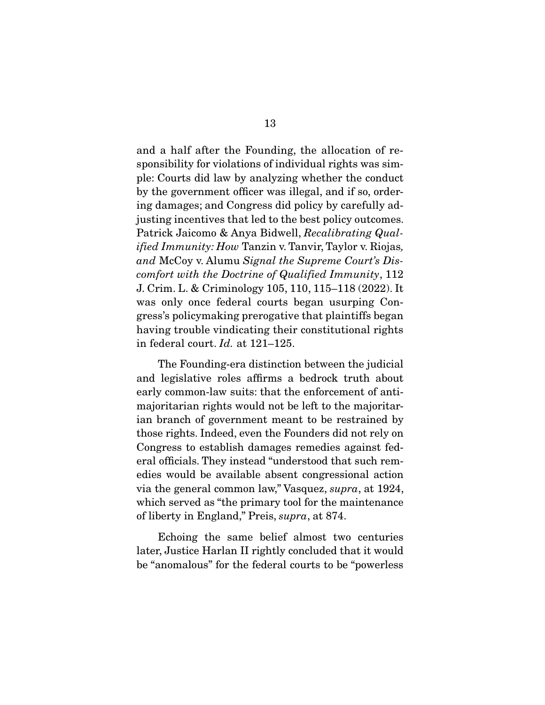and a half after the Founding, the allocation of responsibility for violations of individual rights was simple: Courts did law by analyzing whether the conduct by the government officer was illegal, and if so, ordering damages; and Congress did policy by carefully adjusting incentives that led to the best policy outcomes. Patrick Jaicomo & Anya Bidwell, Recalibrating Qual*ified Immunity: How Tanzin v. Tanvir, Taylor v. Riojas,* and McCoy v. Alumu Signal the Supreme Court's Discomfort with the Doctrine of Qualified Immunity, 112 J. Crim. L. & Criminology 105, 110, 115–118 (2022). It was only once federal courts began usurping Congress's policymaking prerogative that plaintiffs began having trouble vindicating their constitutional rights in federal court. Id. at 121–125.

 The Founding-era distinction between the judicial and legislative roles affirms a bedrock truth about early common-law suits: that the enforcement of antimajoritarian rights would not be left to the majoritarian branch of government meant to be restrained by those rights. Indeed, even the Founders did not rely on Congress to establish damages remedies against federal officials. They instead "understood that such remedies would be available absent congressional action via the general common law," Vasquez, supra, at 1924, which served as "the primary tool for the maintenance of liberty in England," Preis, supra, at 874.

 Echoing the same belief almost two centuries later, Justice Harlan II rightly concluded that it would be "anomalous" for the federal courts to be "powerless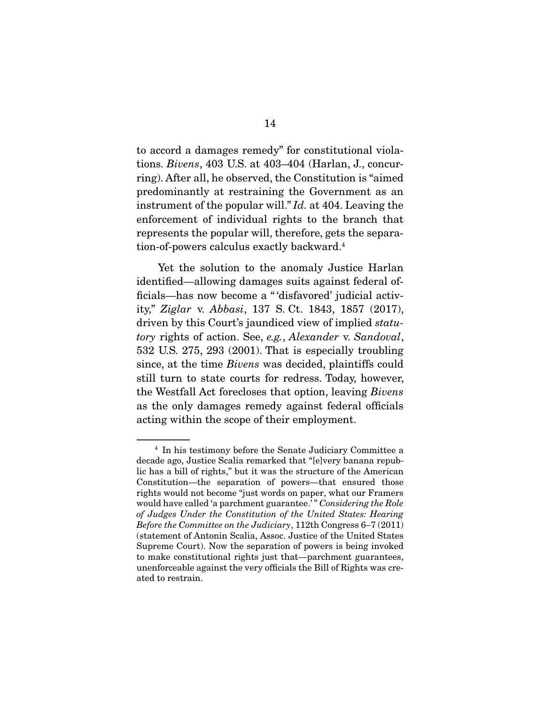to accord a damages remedy" for constitutional violations. Bivens, 403 U.S. at 403–404 (Harlan, J., concurring). After all, he observed, the Constitution is "aimed predominantly at restraining the Government as an instrument of the popular will." Id. at 404. Leaving the enforcement of individual rights to the branch that represents the popular will, therefore, gets the separation-of-powers calculus exactly backward.4

 Yet the solution to the anomaly Justice Harlan identified—allowing damages suits against federal officials—has now become a " 'disfavored' judicial activity," Ziglar v. Abbasi, 137 S. Ct. 1843, 1857 (2017), driven by this Court's jaundiced view of implied statutory rights of action. See, e.g., Alexander v. Sandoval, 532 U.S. 275, 293 (2001). That is especially troubling since, at the time Bivens was decided, plaintiffs could still turn to state courts for redress. Today, however, the Westfall Act forecloses that option, leaving Bivens as the only damages remedy against federal officials acting within the scope of their employment.

<sup>4</sup> In his testimony before the Senate Judiciary Committee a decade ago, Justice Scalia remarked that "[e]very banana republic has a bill of rights," but it was the structure of the American Constitution—the separation of powers—that ensured those rights would not become "just words on paper, what our Framers would have called 'a parchment guarantee.'" Considering the Role of Judges Under the Constitution of the United States: Hearing Before the Committee on the Judiciary, 112th Congress 6–7 (2011) (statement of Antonin Scalia, Assoc. Justice of the United States Supreme Court). Now the separation of powers is being invoked to make constitutional rights just that—parchment guarantees, unenforceable against the very officials the Bill of Rights was created to restrain.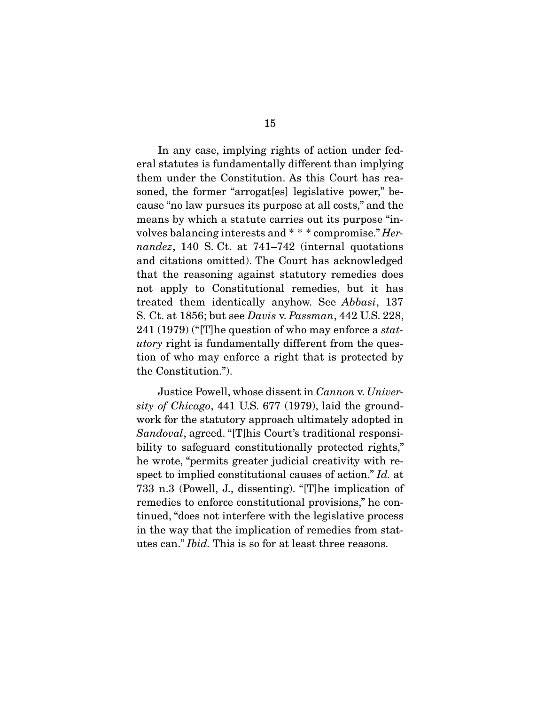In any case, implying rights of action under federal statutes is fundamentally different than implying them under the Constitution. As this Court has reasoned, the former "arrogat[es] legislative power," because "no law pursues its purpose at all costs," and the means by which a statute carries out its purpose "involves balancing interests and \* \* \* compromise." Hernandez, 140 S. Ct. at 741–742 (internal quotations and citations omitted). The Court has acknowledged that the reasoning against statutory remedies does not apply to Constitutional remedies, but it has treated them identically anyhow. See Abbasi, 137 S. Ct. at 1856; but see Davis v. Passman, 442 U.S. 228, 241 (1979) ("[T]he question of who may enforce a statutory right is fundamentally different from the question of who may enforce a right that is protected by the Constitution.").

 Justice Powell, whose dissent in Cannon v. University of Chicago, 441 U.S. 677 (1979), laid the groundwork for the statutory approach ultimately adopted in Sandoval, agreed. "[T]his Court's traditional responsibility to safeguard constitutionally protected rights," he wrote, "permits greater judicial creativity with respect to implied constitutional causes of action." Id. at 733 n.3 (Powell, J., dissenting). "[T]he implication of remedies to enforce constitutional provisions," he continued, "does not interfere with the legislative process in the way that the implication of remedies from statutes can." Ibid. This is so for at least three reasons.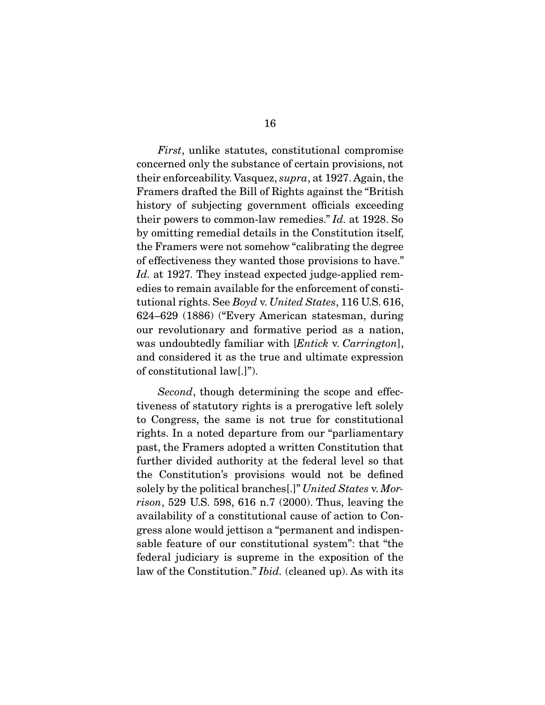First, unlike statutes, constitutional compromise concerned only the substance of certain provisions, not their enforceability. Vasquez, supra, at 1927. Again, the Framers drafted the Bill of Rights against the "British history of subjecting government officials exceeding their powers to common-law remedies." Id. at 1928. So by omitting remedial details in the Constitution itself, the Framers were not somehow "calibrating the degree of effectiveness they wanted those provisions to have." Id. at 1927. They instead expected judge-applied remedies to remain available for the enforcement of constitutional rights. See Boyd v. United States, 116 U.S. 616, 624–629 (1886) ("Every American statesman, during our revolutionary and formative period as a nation, was undoubtedly familiar with [*Entick v. Carrington*], and considered it as the true and ultimate expression of constitutional law[.]").

Second, though determining the scope and effectiveness of statutory rights is a prerogative left solely to Congress, the same is not true for constitutional rights. In a noted departure from our "parliamentary past, the Framers adopted a written Constitution that further divided authority at the federal level so that the Constitution's provisions would not be defined solely by the political branches[.]" United States v. Morrison, 529 U.S. 598, 616 n.7 (2000). Thus, leaving the availability of a constitutional cause of action to Congress alone would jettison a "permanent and indispensable feature of our constitutional system": that "the federal judiciary is supreme in the exposition of the law of the Constitution." *Ibid.* (cleaned up). As with its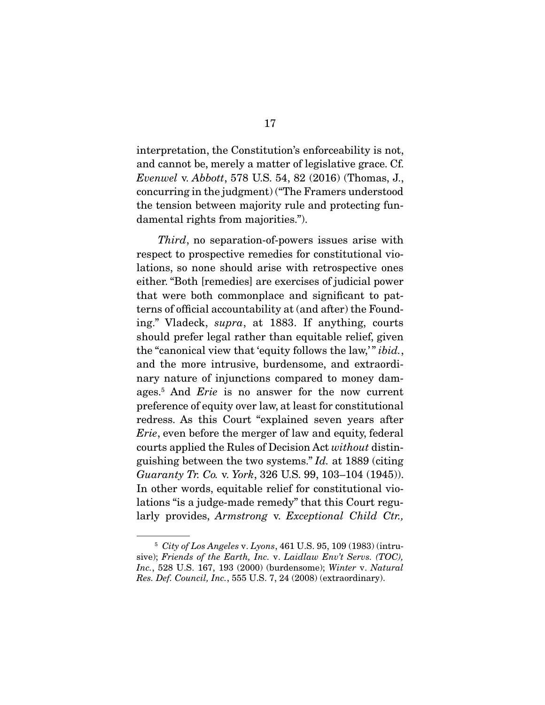interpretation, the Constitution's enforceability is not, and cannot be, merely a matter of legislative grace. Cf. Evenwel v. Abbott, 578 U.S. 54, 82 (2016) (Thomas, J., concurring in the judgment) ("The Framers understood the tension between majority rule and protecting fundamental rights from majorities.").

Third, no separation-of-powers issues arise with respect to prospective remedies for constitutional violations, so none should arise with retrospective ones either. "Both [remedies] are exercises of judicial power that were both commonplace and significant to patterns of official accountability at (and after) the Founding." Vladeck, supra, at 1883. If anything, courts should prefer legal rather than equitable relief, given the "canonical view that 'equity follows the law,'" *ibid.*, and the more intrusive, burdensome, and extraordinary nature of injunctions compared to money damages.<sup>5</sup> And *Erie* is no answer for the now current preference of equity over law, at least for constitutional redress. As this Court "explained seven years after Erie, even before the merger of law and equity, federal courts applied the Rules of Decision Act without distinguishing between the two systems." Id. at 1889 (citing Guaranty Tr. Co. v. York, 326 U.S. 99, 103–104 (1945)). In other words, equitable relief for constitutional violations "is a judge-made remedy" that this Court regularly provides, Armstrong v. Exceptional Child Ctr.,

 $5$  City of Los Angeles v. Lyons, 461 U.S. 95, 109 (1983) (intrusive); Friends of the Earth, Inc. v. Laidlaw Env't Servs. (TOC), Inc., 528 U.S. 167, 193 (2000) (burdensome); Winter v. Natural Res. Def. Council, Inc., 555 U.S. 7, 24 (2008) (extraordinary).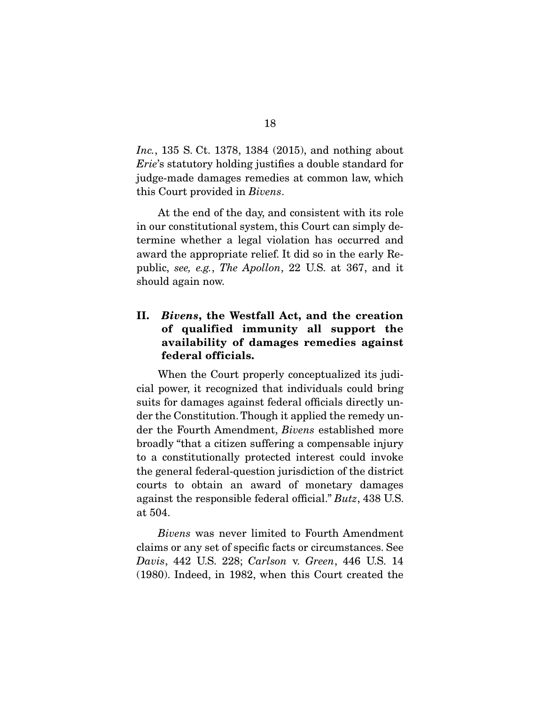Inc., 135 S. Ct. 1378, 1384 (2015), and nothing about Erie's statutory holding justifies a double standard for judge-made damages remedies at common law, which this Court provided in Bivens.

 At the end of the day, and consistent with its role in our constitutional system, this Court can simply determine whether a legal violation has occurred and award the appropriate relief. It did so in the early Republic, see, e.g., The Apollon, 22 U.S. at 367, and it should again now.

### **II.** *Bivens***, the Westfall Act, and the creation of qualified immunity all support the availability of damages remedies against federal officials.**

When the Court properly conceptualized its judicial power, it recognized that individuals could bring suits for damages against federal officials directly under the Constitution. Though it applied the remedy under the Fourth Amendment, Bivens established more broadly "that a citizen suffering a compensable injury to a constitutionally protected interest could invoke the general federal-question jurisdiction of the district courts to obtain an award of monetary damages against the responsible federal official." Butz, 438 U.S. at 504.

Bivens was never limited to Fourth Amendment claims or any set of specific facts or circumstances. See Davis, 442 U.S. 228; Carlson v. Green, 446 U.S. 14 (1980). Indeed, in 1982, when this Court created the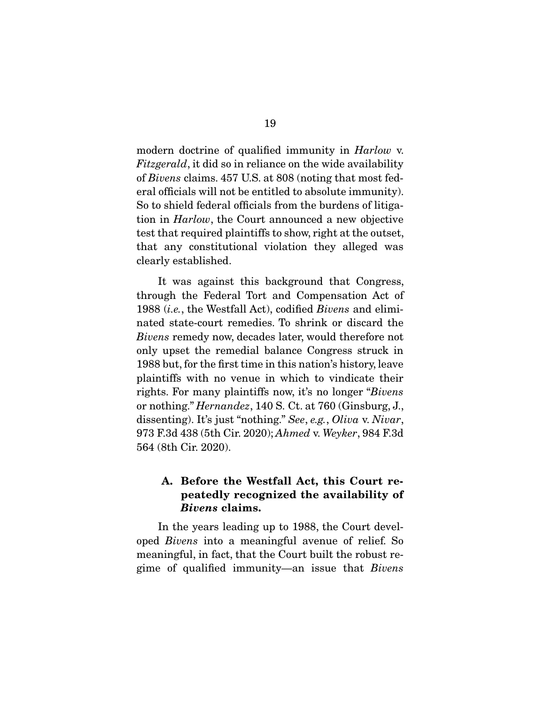modern doctrine of qualified immunity in *Harlow* v. Fitzgerald, it did so in reliance on the wide availability of Bivens claims. 457 U.S. at 808 (noting that most federal officials will not be entitled to absolute immunity). So to shield federal officials from the burdens of litigation in Harlow, the Court announced a new objective test that required plaintiffs to show, right at the outset, that any constitutional violation they alleged was clearly established.

 It was against this background that Congress, through the Federal Tort and Compensation Act of 1988 (i.e., the Westfall Act), codified Bivens and eliminated state-court remedies. To shrink or discard the Bivens remedy now, decades later, would therefore not only upset the remedial balance Congress struck in 1988 but, for the first time in this nation's history, leave plaintiffs with no venue in which to vindicate their rights. For many plaintiffs now, it's no longer "Bivens or nothing." Hernandez, 140 S. Ct. at 760 (Ginsburg, J., dissenting). It's just "nothing." See, e.g., Oliva v. Nivar, 973 F.3d 438 (5th Cir. 2020); Ahmed v. Weyker, 984 F.3d 564 (8th Cir. 2020).

### **A. Before the Westfall Act, this Court repeatedly recognized the availability of**  *Bivens* **claims.**

 In the years leading up to 1988, the Court developed Bivens into a meaningful avenue of relief. So meaningful, in fact, that the Court built the robust regime of qualified immunity—an issue that Bivens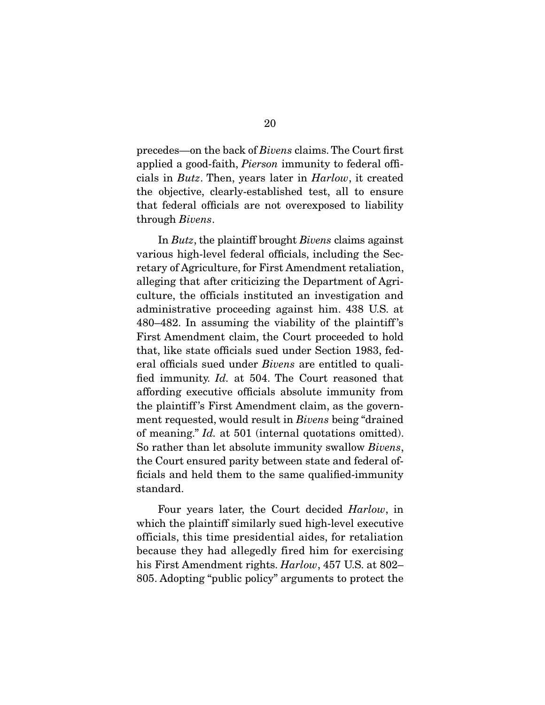precedes—on the back of Bivens claims. The Court first applied a good-faith, Pierson immunity to federal officials in Butz. Then, years later in Harlow, it created the objective, clearly-established test, all to ensure that federal officials are not overexposed to liability through Bivens.

 In Butz, the plaintiff brought Bivens claims against various high-level federal officials, including the Secretary of Agriculture, for First Amendment retaliation, alleging that after criticizing the Department of Agriculture, the officials instituted an investigation and administrative proceeding against him. 438 U.S. at 480–482. In assuming the viability of the plaintiff 's First Amendment claim, the Court proceeded to hold that, like state officials sued under Section 1983, federal officials sued under Bivens are entitled to qualified immunity. Id. at 504. The Court reasoned that affording executive officials absolute immunity from the plaintiff 's First Amendment claim, as the government requested, would result in Bivens being "drained of meaning." Id. at 501 (internal quotations omitted). So rather than let absolute immunity swallow Bivens, the Court ensured parity between state and federal officials and held them to the same qualified-immunity standard.

 Four years later, the Court decided Harlow, in which the plaintiff similarly sued high-level executive officials, this time presidential aides, for retaliation because they had allegedly fired him for exercising his First Amendment rights. Harlow, 457 U.S. at 802– 805. Adopting "public policy" arguments to protect the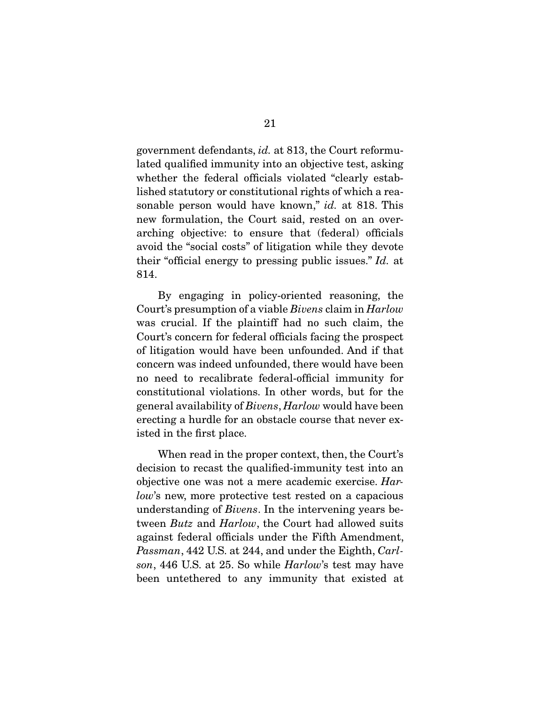government defendants, id. at 813, the Court reformulated qualified immunity into an objective test, asking whether the federal officials violated "clearly established statutory or constitutional rights of which a reasonable person would have known," *id.* at 818. This new formulation, the Court said, rested on an overarching objective: to ensure that (federal) officials avoid the "social costs" of litigation while they devote their "official energy to pressing public issues." Id. at 814.

 By engaging in policy-oriented reasoning, the Court's presumption of a viable Bivens claim in Harlow was crucial. If the plaintiff had no such claim, the Court's concern for federal officials facing the prospect of litigation would have been unfounded. And if that concern was indeed unfounded, there would have been no need to recalibrate federal-official immunity for constitutional violations. In other words, but for the general availability of Bivens, Harlow would have been erecting a hurdle for an obstacle course that never existed in the first place.

 When read in the proper context, then, the Court's decision to recast the qualified-immunity test into an objective one was not a mere academic exercise. Harlow's new, more protective test rested on a capacious understanding of Bivens. In the intervening years between *Butz* and *Harlow*, the Court had allowed suits against federal officials under the Fifth Amendment, Passman, 442 U.S. at 244, and under the Eighth, Carlson, 446 U.S. at 25. So while *Harlow*'s test may have been untethered to any immunity that existed at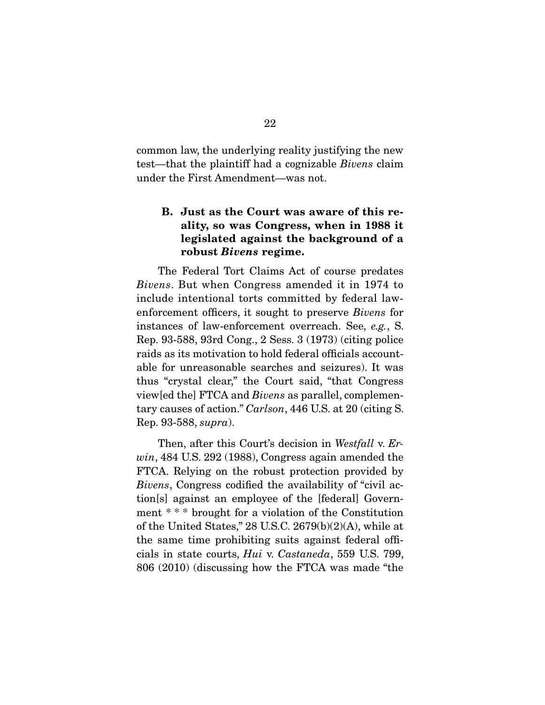common law, the underlying reality justifying the new test—that the plaintiff had a cognizable Bivens claim under the First Amendment—was not.

## **B. Just as the Court was aware of this reality, so was Congress, when in 1988 it legislated against the background of a robust** *Bivens* **regime.**

 The Federal Tort Claims Act of course predates Bivens. But when Congress amended it in 1974 to include intentional torts committed by federal lawenforcement officers, it sought to preserve Bivens for instances of law-enforcement overreach. See, e.g., S. Rep. 93-588, 93rd Cong., 2 Sess. 3 (1973) (citing police raids as its motivation to hold federal officials accountable for unreasonable searches and seizures). It was thus "crystal clear," the Court said, "that Congress view[ed the] FTCA and Bivens as parallel, complementary causes of action." Carlson, 446 U.S. at 20 (citing S. Rep. 93-588, supra).

Then, after this Court's decision in Westfall v. Erwin, 484 U.S. 292 (1988), Congress again amended the FTCA. Relying on the robust protection provided by Bivens, Congress codified the availability of "civil action[s] against an employee of the [federal] Government \* \* \* brought for a violation of the Constitution of the United States," 28 U.S.C. 2679(b)(2)(A), while at the same time prohibiting suits against federal officials in state courts, Hui v. Castaneda, 559 U.S. 799, 806 (2010) (discussing how the FTCA was made "the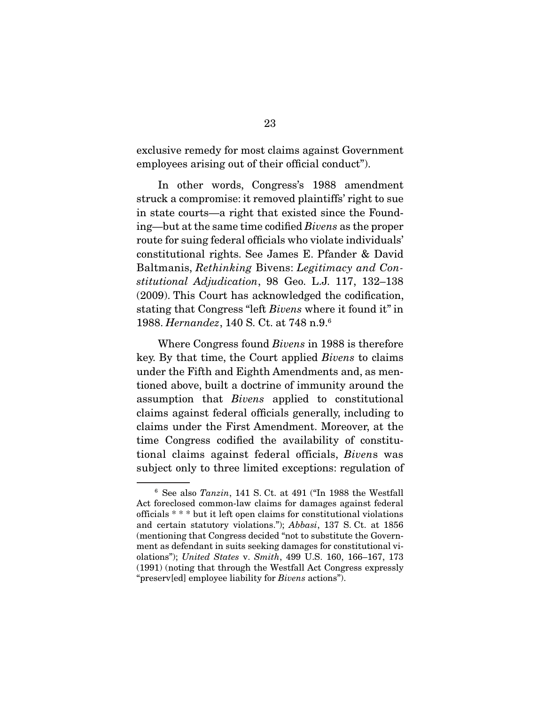exclusive remedy for most claims against Government employees arising out of their official conduct").

 In other words, Congress's 1988 amendment struck a compromise: it removed plaintiffs' right to sue in state courts—a right that existed since the Founding—but at the same time codified Bivens as the proper route for suing federal officials who violate individuals' constitutional rights. See James E. Pfander & David Baltmanis, Rethinking Bivens: Legitimacy and Constitutional Adjudication, 98 Geo. L.J. 117, 132–138 (2009). This Court has acknowledged the codification, stating that Congress "left Bivens where it found it" in 1988. Hernandez, 140 S. Ct. at 748 n.9.6

 Where Congress found Bivens in 1988 is therefore key. By that time, the Court applied Bivens to claims under the Fifth and Eighth Amendments and, as mentioned above, built a doctrine of immunity around the assumption that Bivens applied to constitutional claims against federal officials generally, including to claims under the First Amendment. Moreover, at the time Congress codified the availability of constitutional claims against federal officials, Bivens was subject only to three limited exceptions: regulation of

<sup>6</sup> See also Tanzin, 141 S. Ct. at 491 ("In 1988 the Westfall Act foreclosed common-law claims for damages against federal officials \* \* \* but it left open claims for constitutional violations and certain statutory violations."); Abbasi, 137 S. Ct. at 1856 (mentioning that Congress decided "not to substitute the Government as defendant in suits seeking damages for constitutional violations"); United States v. Smith, 499 U.S. 160, 166–167, 173 (1991) (noting that through the Westfall Act Congress expressly "preserv[ed] employee liability for Bivens actions").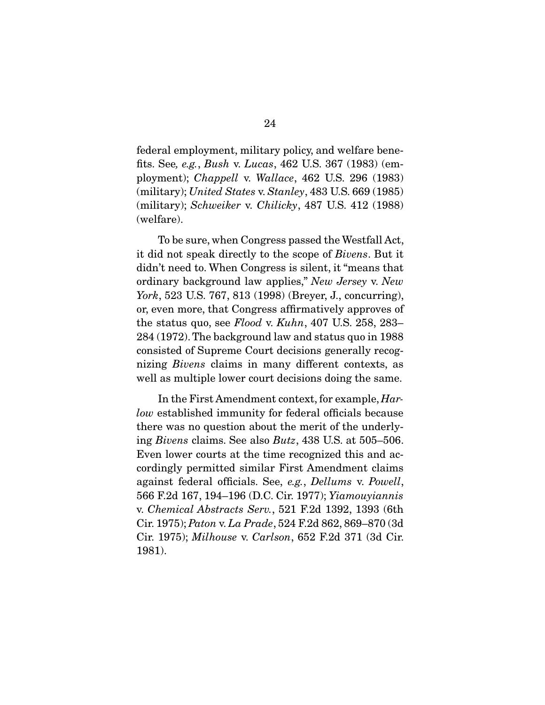federal employment, military policy, and welfare benefits. See, e.g., Bush v. Lucas, 462 U.S. 367 (1983) (employment); Chappell v. Wallace, 462 U.S. 296 (1983) (military); United States v. Stanley,  $483$  U.S.  $669$  (1985) (military); Schweiker v. Chilicky, 487 U.S. 412 (1988) (welfare).

 To be sure, when Congress passed the Westfall Act, it did not speak directly to the scope of Bivens. But it didn't need to. When Congress is silent, it "means that ordinary background law applies," New Jersey v. New York, 523 U.S. 767, 813 (1998) (Breyer, J., concurring), or, even more, that Congress affirmatively approves of the status quo, see Flood v. Kuhn, 407 U.S. 258, 283– 284 (1972). The background law and status quo in 1988 consisted of Supreme Court decisions generally recognizing Bivens claims in many different contexts, as well as multiple lower court decisions doing the same.

 In the First Amendment context, for example, Harlow established immunity for federal officials because there was no question about the merit of the underlying Bivens claims. See also Butz, 438 U.S. at 505–506. Even lower courts at the time recognized this and accordingly permitted similar First Amendment claims against federal officials. See, e.g., Dellums v. Powell, 566 F.2d 167, 194–196 (D.C. Cir. 1977); Yiamouyiannis v. Chemical Abstracts Serv., 521 F.2d 1392, 1393 (6th Cir. 1975); Paton v. La Prade, 524 F.2d 862, 869–870 (3d Cir. 1975); Milhouse v. Carlson, 652 F.2d 371 (3d Cir. 1981).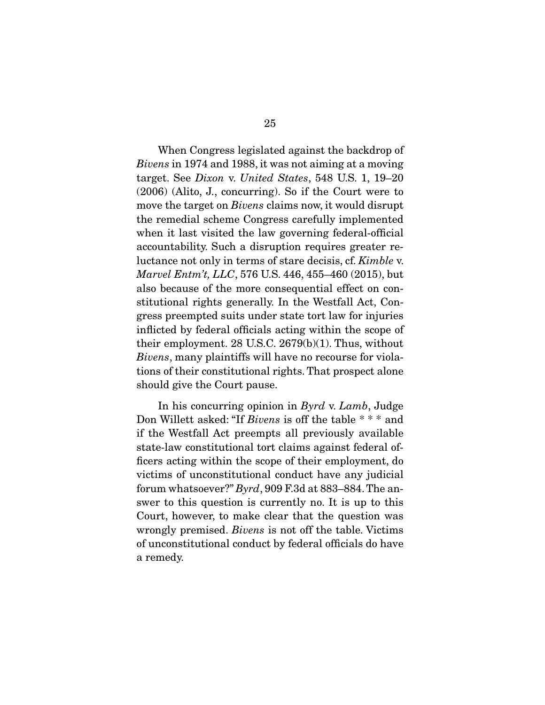When Congress legislated against the backdrop of Bivens in 1974 and 1988, it was not aiming at a moving target. See Dixon v. United States, 548 U.S. 1, 19–20 (2006) (Alito, J., concurring). So if the Court were to move the target on *Bivens* claims now, it would disrupt the remedial scheme Congress carefully implemented when it last visited the law governing federal-official accountability. Such a disruption requires greater reluctance not only in terms of stare decisis, cf. Kimble v. Marvel Entm't, LLC, 576 U.S. 446, 455–460 (2015), but also because of the more consequential effect on constitutional rights generally. In the Westfall Act, Congress preempted suits under state tort law for injuries inflicted by federal officials acting within the scope of their employment. 28 U.S.C. 2679(b)(1). Thus, without Bivens, many plaintiffs will have no recourse for violations of their constitutional rights. That prospect alone should give the Court pause.

 In his concurring opinion in Byrd v. Lamb, Judge Don Willett asked: "If Bivens is off the table \* \* \* and if the Westfall Act preempts all previously available state-law constitutional tort claims against federal officers acting within the scope of their employment, do victims of unconstitutional conduct have any judicial forum whatsoever?" Byrd, 909 F.3d at 883–884. The answer to this question is currently no. It is up to this Court, however, to make clear that the question was wrongly premised. Bivens is not off the table. Victims of unconstitutional conduct by federal officials do have a remedy.